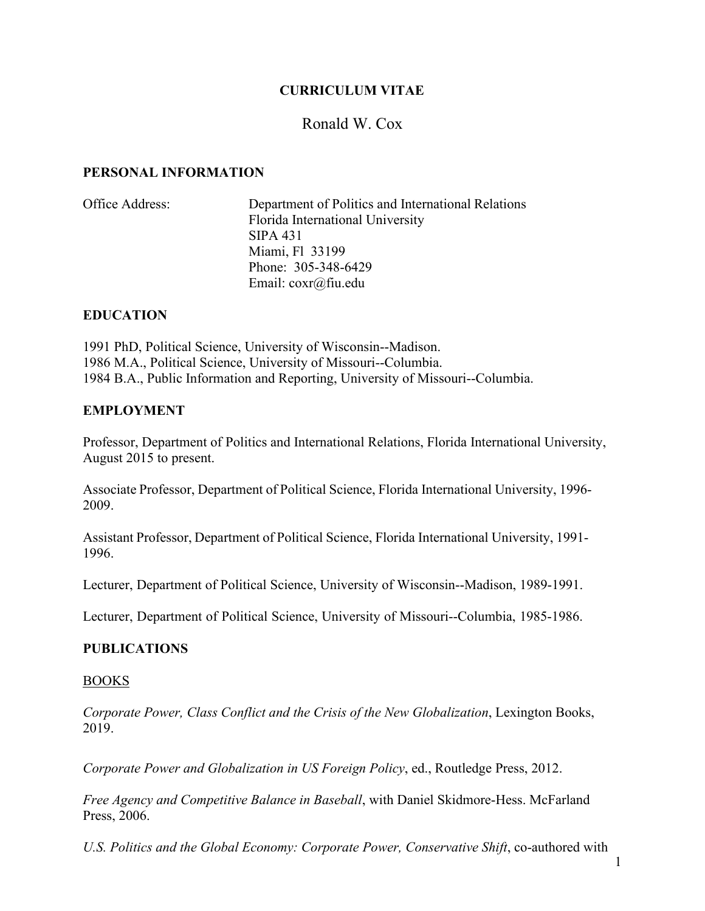## **CURRICULUM VITAE**

# Ronald W. Cox

#### **PERSONAL INFORMATION**

| Office Address: | Department of Politics and International Relations |
|-----------------|----------------------------------------------------|
|                 | Florida International University                   |
|                 | SIPA 431                                           |
|                 | Miami, F1 33199                                    |
|                 | Phone: 305-348-6429                                |
|                 | Email: $\cos(\omega)$ fiu.edu                      |

#### **EDUCATION**

1991 PhD, Political Science, University of Wisconsin--Madison. 1986 M.A., Political Science, University of Missouri--Columbia. 1984 B.A., Public Information and Reporting, University of Missouri--Columbia.

#### **EMPLOYMENT**

Professor, Department of Politics and International Relations, Florida International University, August 2015 to present.

Associate Professor, Department of Political Science, Florida International University, 1996- 2009.

Assistant Professor, Department of Political Science, Florida International University, 1991- 1996.

Lecturer, Department of Political Science, University of Wisconsin--Madison, 1989-1991.

Lecturer, Department of Political Science, University of Missouri--Columbia, 1985-1986.

#### **PUBLICATIONS**

#### BOOKS

*Corporate Power, Class Conflict and the Crisis of the New Globalization*, Lexington Books, 2019.

*Corporate Power and Globalization in US Foreign Policy*, ed., Routledge Press, 2012.

*Free Agency and Competitive Balance in Baseball*, with Daniel Skidmore-Hess. McFarland Press, 2006.

U.S. Politics and the Global Economy: Corporate Power, Conservative Shift, co-authored with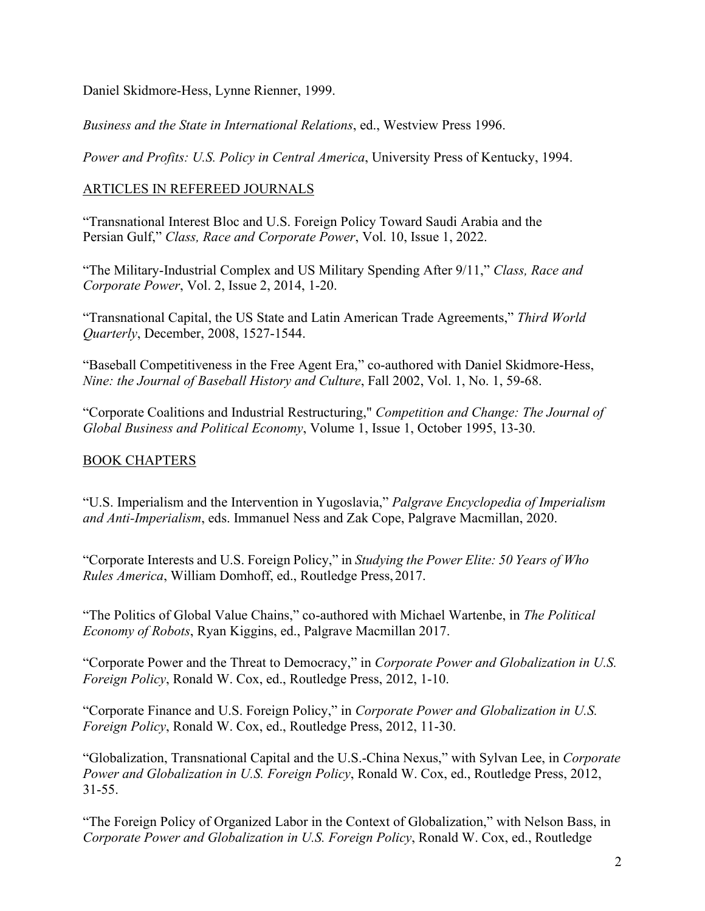Daniel Skidmore-Hess, Lynne Rienner, 1999.

*Business and the State in International Relations*, ed., Westview Press 1996.

*Power and Profits: U.S. Policy in Central America*, University Press of Kentucky, 1994.

# ARTICLES IN REFEREED JOURNALS

"Transnational Interest Bloc and U.S. Foreign Policy Toward Saudi Arabia and the Persian Gulf," *Class, Race and Corporate Power*, Vol. 10, Issue 1, 2022.

"The Military-Industrial Complex and US Military Spending After 9/11," *Class, Race and Corporate Power*, Vol. 2, Issue 2, 2014, 1-20.

"Transnational Capital, the US State and Latin American Trade Agreements," *Third World Quarterly*, December, 2008, 1527-1544.

"Baseball Competitiveness in the Free Agent Era," co-authored with Daniel Skidmore-Hess, *Nine: the Journal of Baseball History and Culture*, Fall 2002, Vol. 1, No. 1, 59-68.

"Corporate Coalitions and Industrial Restructuring," *Competition and Change: The Journal of Global Business and Political Economy*, Volume 1, Issue 1, October 1995, 13-30.

# BOOK CHAPTERS

"U.S. Imperialism and the Intervention in Yugoslavia," *Palgrave Encyclopedia of Imperialism and Anti-Imperialism*, eds. Immanuel Ness and Zak Cope, Palgrave Macmillan, 2020.

"Corporate Interests and U.S. Foreign Policy," in *Studying the Power Elite: 50 Years of Who Rules America*, William Domhoff, ed., Routledge Press,2017.

"The Politics of Global Value Chains," co-authored with Michael Wartenbe, in *The Political Economy of Robots*, Ryan Kiggins, ed., Palgrave Macmillan 2017.

"Corporate Power and the Threat to Democracy," in *Corporate Power and Globalization in U.S. Foreign Policy*, Ronald W. Cox, ed., Routledge Press, 2012, 1-10.

"Corporate Finance and U.S. Foreign Policy," in *Corporate Power and Globalization in U.S. Foreign Policy*, Ronald W. Cox, ed., Routledge Press, 2012, 11-30.

"Globalization, Transnational Capital and the U.S.-China Nexus," with Sylvan Lee, in *Corporate Power and Globalization in U.S. Foreign Policy*, Ronald W. Cox, ed., Routledge Press, 2012, 31-55.

"The Foreign Policy of Organized Labor in the Context of Globalization," with Nelson Bass, in *Corporate Power and Globalization in U.S. Foreign Policy*, Ronald W. Cox, ed., Routledge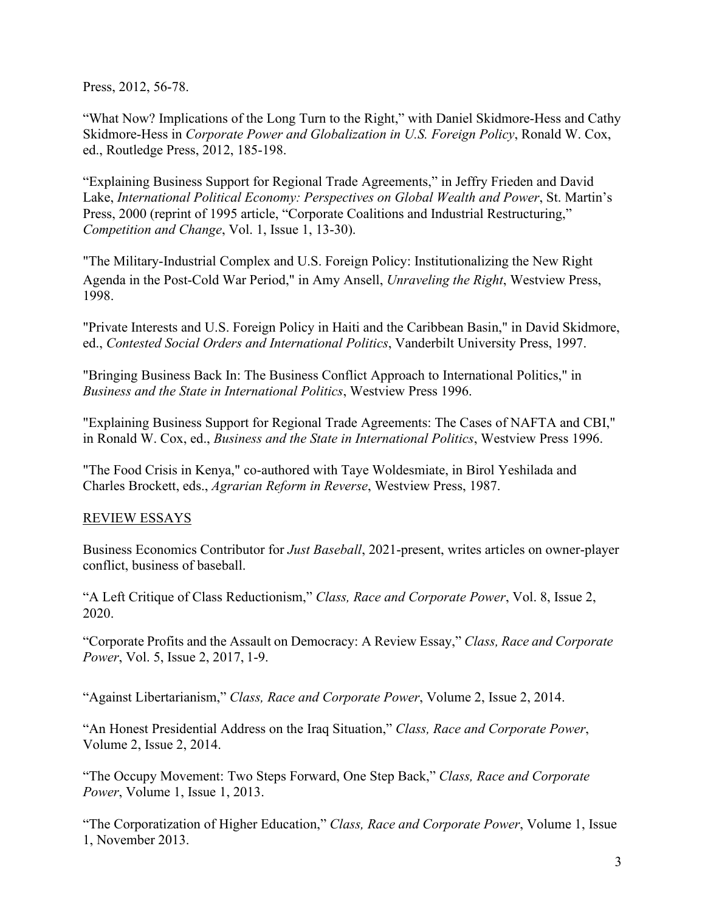Press, 2012, 56-78.

"What Now? Implications of the Long Turn to the Right," with Daniel Skidmore-Hess and Cathy Skidmore-Hess in *Corporate Power and Globalization in U.S. Foreign Policy*, Ronald W. Cox, ed., Routledge Press, 2012, 185-198.

"Explaining Business Support for Regional Trade Agreements," in Jeffry Frieden and David Lake, *International Political Economy: Perspectives on Global Wealth and Power*, St. Martin's Press, 2000 (reprint of 1995 article, "Corporate Coalitions and Industrial Restructuring," *Competition and Change*, Vol. 1, Issue 1, 13-30).

"The Military-Industrial Complex and U.S. Foreign Policy: Institutionalizing the New Right Agenda in the Post-Cold War Period," in Amy Ansell, *Unraveling the Right*, Westview Press, 1998.

"Private Interests and U.S. Foreign Policy in Haiti and the Caribbean Basin," in David Skidmore, ed., *Contested Social Orders and International Politics*, Vanderbilt University Press, 1997.

"Bringing Business Back In: The Business Conflict Approach to International Politics," in *Business and the State in International Politics*, Westview Press 1996.

"Explaining Business Support for Regional Trade Agreements: The Cases of NAFTA and CBI," in Ronald W. Cox, ed., *Business and the State in International Politics*, Westview Press 1996.

"The Food Crisis in Kenya," co-authored with Taye Woldesmiate, in Birol Yeshilada and Charles Brockett, eds., *Agrarian Reform in Reverse*, Westview Press, 1987.

# REVIEW ESSAYS

Business Economics Contributor for *Just Baseball*, 2021-present, writes articles on owner-player conflict, business of baseball.

"A Left Critique of Class Reductionism," *Class, Race and Corporate Power*, Vol. 8, Issue 2, 2020.

"Corporate Profits and the Assault on Democracy: A Review Essay," *Class, Race and Corporate Power*, Vol. 5, Issue 2, 2017, 1-9.

"Against Libertarianism," *Class, Race and Corporate Power*, Volume 2, Issue 2, 2014.

"An Honest Presidential Address on the Iraq Situation," *Class, Race and Corporate Power*, Volume 2, Issue 2, 2014.

"The Occupy Movement: Two Steps Forward, One Step Back," *Class, Race and Corporate Power*, Volume 1, Issue 1, 2013.

"The Corporatization of Higher Education," *Class, Race and Corporate Power*, Volume 1, Issue 1, November 2013.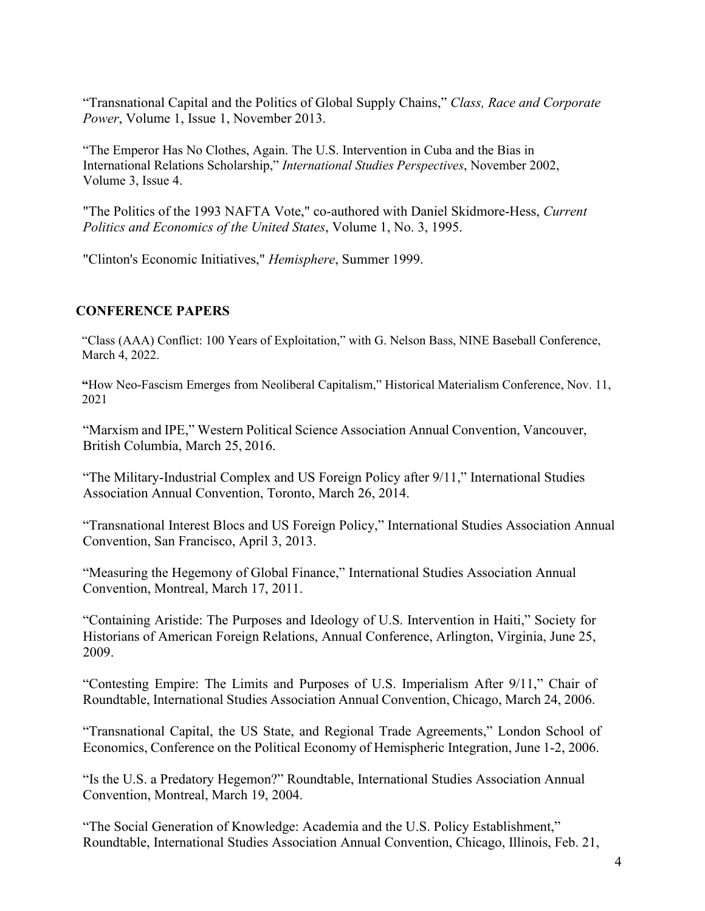"Transnational Capital and the Politics of Global Supply Chains," *Class, Race and Corporate Power*, Volume 1, Issue 1, November 2013.

"The Emperor Has No Clothes, Again. The U.S. Intervention in Cuba and the Bias in International Relations Scholarship," *International Studies Perspectives*, November 2002, Volume 3, Issue 4.

"The Politics of the 1993 NAFTA Vote," co-authored with Daniel Skidmore-Hess, *Current Politics and Economics of the United States*, Volume 1, No. 3, 1995.

"Clinton's Economic Initiatives," *Hemisphere*, Summer 1999.

## **CONFERENCE PAPERS**

"Class (AAA) Conflict: 100 Years of Exploitation," with G. Nelson Bass, NINE Baseball Conference, March 4, 2022.

**"**How Neo-Fascism Emerges from Neoliberal Capitalism," Historical Materialism Conference, Nov. 11, 2021

"Marxism and IPE," Western Political Science Association Annual Convention, Vancouver, British Columbia, March 25, 2016.

"The Military-Industrial Complex and US Foreign Policy after 9/11," International Studies Association Annual Convention, Toronto, March 26, 2014.

"Transnational Interest Blocs and US Foreign Policy," International Studies Association Annual Convention, San Francisco, April 3, 2013.

"Measuring the Hegemony of Global Finance," International Studies Association Annual Convention, Montreal, March 17, 2011.

"Containing Aristide: The Purposes and Ideology of U.S. Intervention in Haiti," Society for Historians of American Foreign Relations, Annual Conference, Arlington, Virginia, June 25, 2009.

"Contesting Empire: The Limits and Purposes of U.S. Imperialism After 9/11," Chair of Roundtable, International Studies Association Annual Convention, Chicago, March 24, 2006.

"Transnational Capital, the US State, and Regional Trade Agreements," London School of Economics, Conference on the Political Economy of Hemispheric Integration, June 1-2, 2006.

"Is the U.S. a Predatory Hegemon?" Roundtable, International Studies Association Annual Convention, Montreal, March 19, 2004.

"The Social Generation of Knowledge: Academia and the U.S. Policy Establishment," Roundtable, International Studies Association Annual Convention, Chicago, Illinois, Feb. 21,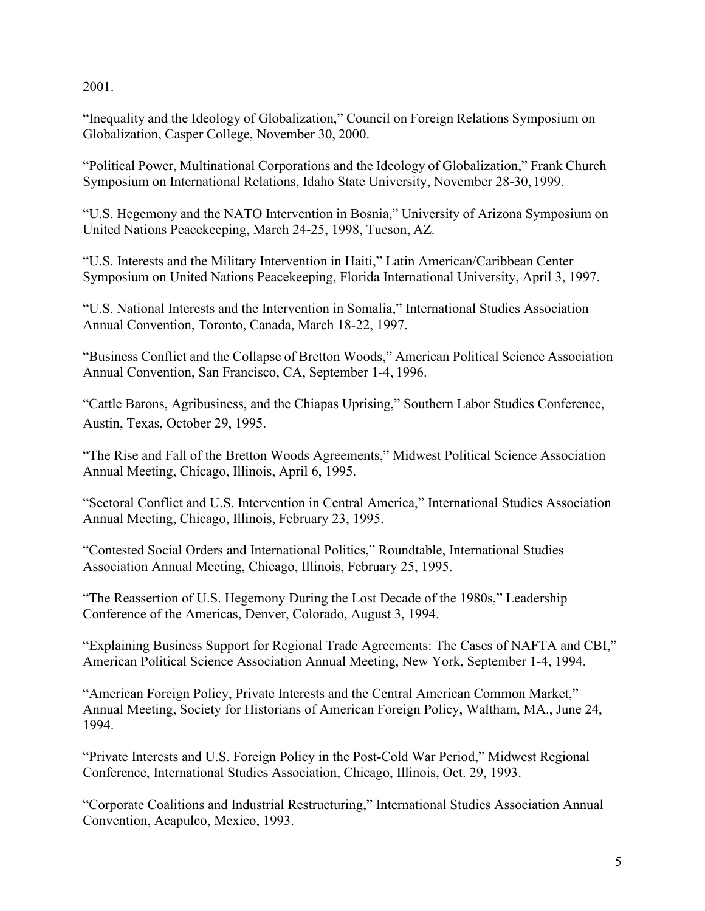2001.

"Inequality and the Ideology of Globalization," Council on Foreign Relations Symposium on Globalization, Casper College, November 30, 2000.

"Political Power, Multinational Corporations and the Ideology of Globalization," Frank Church Symposium on International Relations, Idaho State University, November 28-30, 1999.

"U.S. Hegemony and the NATO Intervention in Bosnia," University of Arizona Symposium on United Nations Peacekeeping, March 24-25, 1998, Tucson, AZ.

"U.S. Interests and the Military Intervention in Haiti," Latin American/Caribbean Center Symposium on United Nations Peacekeeping, Florida International University, April 3, 1997.

"U.S. National Interests and the Intervention in Somalia," International Studies Association Annual Convention, Toronto, Canada, March 18-22, 1997.

"Business Conflict and the Collapse of Bretton Woods," American Political Science Association Annual Convention, San Francisco, CA, September 1-4, 1996.

"Cattle Barons, Agribusiness, and the Chiapas Uprising," Southern Labor Studies Conference, Austin, Texas, October 29, 1995.

"The Rise and Fall of the Bretton Woods Agreements," Midwest Political Science Association Annual Meeting, Chicago, Illinois, April 6, 1995.

"Sectoral Conflict and U.S. Intervention in Central America," International Studies Association Annual Meeting, Chicago, Illinois, February 23, 1995.

"Contested Social Orders and International Politics," Roundtable, International Studies Association Annual Meeting, Chicago, Illinois, February 25, 1995.

"The Reassertion of U.S. Hegemony During the Lost Decade of the 1980s," Leadership Conference of the Americas, Denver, Colorado, August 3, 1994.

"Explaining Business Support for Regional Trade Agreements: The Cases of NAFTA and CBI," American Political Science Association Annual Meeting, New York, September 1-4, 1994.

"American Foreign Policy, Private Interests and the Central American Common Market," Annual Meeting, Society for Historians of American Foreign Policy, Waltham, MA., June 24, 1994.

"Private Interests and U.S. Foreign Policy in the Post-Cold War Period," Midwest Regional Conference, International Studies Association, Chicago, Illinois, Oct. 29, 1993.

"Corporate Coalitions and Industrial Restructuring," International Studies Association Annual Convention, Acapulco, Mexico, 1993.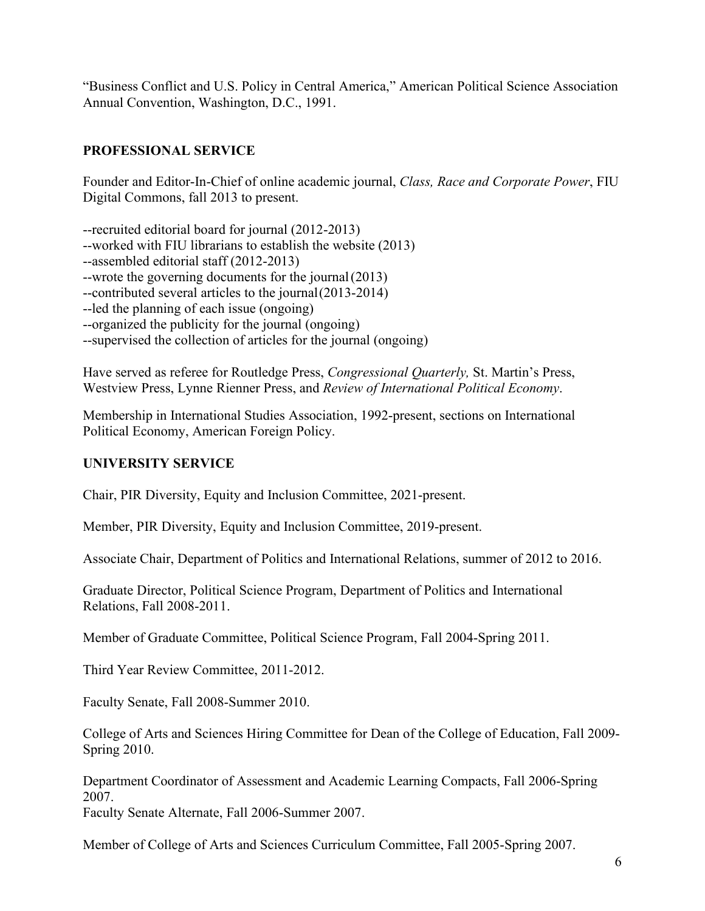"Business Conflict and U.S. Policy in Central America," American Political Science Association Annual Convention, Washington, D.C., 1991.

## **PROFESSIONAL SERVICE**

Founder and Editor-In-Chief of online academic journal, *Class, Race and Corporate Power*, FIU Digital Commons, fall 2013 to present.

--recruited editorial board for journal (2012-2013) --worked with FIU librarians to establish the website (2013) --assembled editorial staff (2012-2013) --wrote the governing documents for the journal(2013) --contributed several articles to the journal(2013-2014) --led the planning of each issue (ongoing) --organized the publicity for the journal (ongoing) --supervised the collection of articles for the journal (ongoing)

Have served as referee for Routledge Press, *Congressional Quarterly,* St. Martin's Press, Westview Press, Lynne Rienner Press, and *Review of International Political Economy*.

Membership in International Studies Association, 1992-present, sections on International Political Economy, American Foreign Policy.

#### **UNIVERSITY SERVICE**

Chair, PIR Diversity, Equity and Inclusion Committee, 2021-present.

Member, PIR Diversity, Equity and Inclusion Committee, 2019-present.

Associate Chair, Department of Politics and International Relations, summer of 2012 to 2016.

Graduate Director, Political Science Program, Department of Politics and International Relations, Fall 2008-2011.

Member of Graduate Committee, Political Science Program, Fall 2004-Spring 2011.

Third Year Review Committee, 2011-2012.

Faculty Senate, Fall 2008-Summer 2010.

College of Arts and Sciences Hiring Committee for Dean of the College of Education, Fall 2009- Spring 2010.

Department Coordinator of Assessment and Academic Learning Compacts, Fall 2006-Spring 2007. Faculty Senate Alternate, Fall 2006-Summer 2007.

Member of College of Arts and Sciences Curriculum Committee, Fall 2005-Spring 2007.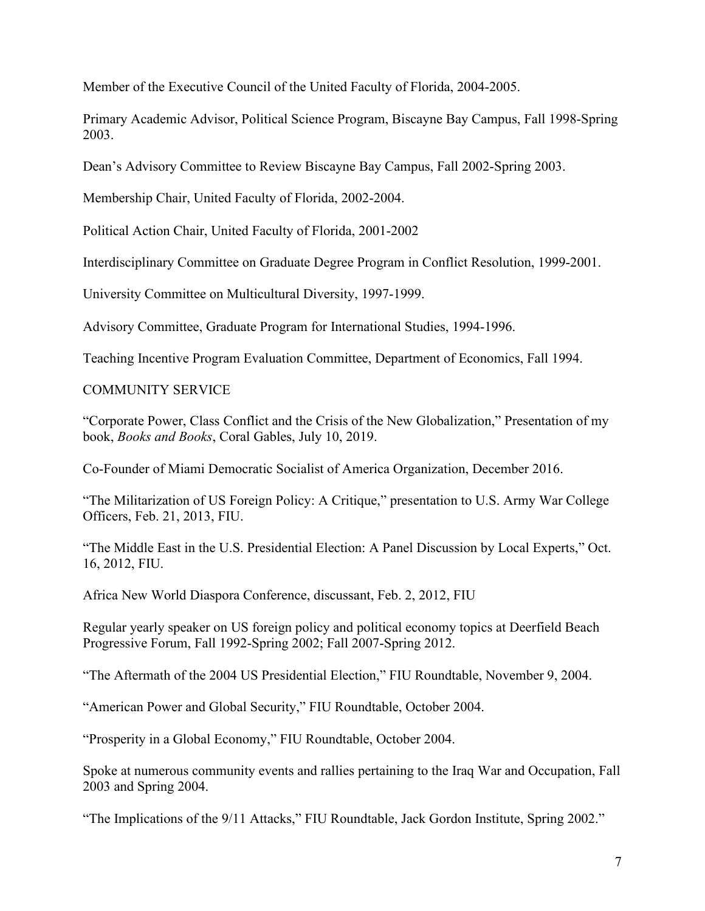Member of the Executive Council of the United Faculty of Florida, 2004-2005.

Primary Academic Advisor, Political Science Program, Biscayne Bay Campus, Fall 1998-Spring 2003.

Dean's Advisory Committee to Review Biscayne Bay Campus, Fall 2002-Spring 2003.

Membership Chair, United Faculty of Florida, 2002-2004.

Political Action Chair, United Faculty of Florida, 2001-2002

Interdisciplinary Committee on Graduate Degree Program in Conflict Resolution, 1999-2001.

University Committee on Multicultural Diversity, 1997-1999.

Advisory Committee, Graduate Program for International Studies, 1994-1996.

Teaching Incentive Program Evaluation Committee, Department of Economics, Fall 1994.

## COMMUNITY SERVICE

"Corporate Power, Class Conflict and the Crisis of the New Globalization," Presentation of my book, *Books and Books*, Coral Gables, July 10, 2019.

Co-Founder of Miami Democratic Socialist of America Organization, December 2016.

"The Militarization of US Foreign Policy: A Critique," presentation to U.S. Army War College Officers, Feb. 21, 2013, FIU.

"The Middle East in the U.S. Presidential Election: A Panel Discussion by Local Experts," Oct. 16, 2012, FIU.

Africa New World Diaspora Conference, discussant, Feb. 2, 2012, FIU

Regular yearly speaker on US foreign policy and political economy topics at Deerfield Beach Progressive Forum, Fall 1992-Spring 2002; Fall 2007-Spring 2012.

"The Aftermath of the 2004 US Presidential Election," FIU Roundtable, November 9, 2004.

"American Power and Global Security," FIU Roundtable, October 2004.

"Prosperity in a Global Economy," FIU Roundtable, October 2004.

Spoke at numerous community events and rallies pertaining to the Iraq War and Occupation, Fall 2003 and Spring 2004.

"The Implications of the 9/11 Attacks," FIU Roundtable, Jack Gordon Institute, Spring 2002."